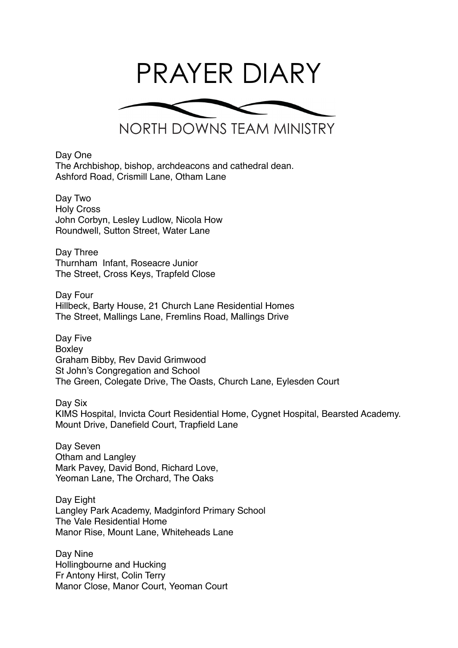

Day One The Archbishop, bishop, archdeacons and cathedral dean. Ashford Road, Crismill Lane, Otham Lane

Day Two Holy Cross John Corbyn, Lesley Ludlow, Nicola How Roundwell, Sutton Street, Water Lane

Day Three Thurnham Infant, Roseacre Junior The Street, Cross Keys, Trapfeld Close

Day Four Hillbeck, Barty House, 21 Church Lane Residential Homes The Street, Mallings Lane, Fremlins Road, Mallings Drive

Day Five Boxley Graham Bibby, Rev David Grimwood St John's Congregation and School The Green, Colegate Drive, The Oasts, Church Lane, Eylesden Court

Day Six KIMS Hospital, Invicta Court Residential Home, Cygnet Hospital, Bearsted Academy. Mount Drive, Danefield Court, Trapfield Lane

Day Seven Otham and Langley Mark Pavey, David Bond, Richard Love, Yeoman Lane, The Orchard, The Oaks

Day Eight Langley Park Academy, Madginford Primary School The Vale Residential Home Manor Rise, Mount Lane, Whiteheads Lane

Day Nine Hollingbourne and Hucking Fr Antony Hirst, Colin Terry Manor Close, Manor Court, Yeoman Court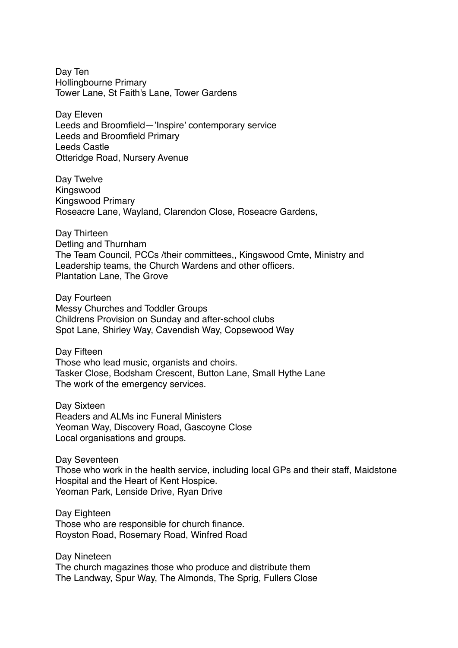Day Ten Hollingbourne Primary Tower Lane, St Faith's Lane, Tower Gardens

Day Eleven Leeds and Broomfield—'Inspire' contemporary service Leeds and Broomfield Primary Leeds Castle Otteridge Road, Nursery Avenue

Day Twelve Kingswood Kingswood Primary Roseacre Lane, Wayland, Clarendon Close, Roseacre Gardens,

Day Thirteen Detling and Thurnham The Team Council, PCCs /their committees,, Kingswood Cmte, Ministry and Leadership teams, the Church Wardens and other officers. Plantation Lane, The Grove

Day Fourteen Messy Churches and Toddler Groups Childrens Provision on Sunday and after-school clubs Spot Lane, Shirley Way, Cavendish Way, Copsewood Way

Day Fifteen Those who lead music, organists and choirs. Tasker Close, Bodsham Crescent, Button Lane, Small Hythe Lane The work of the emergency services.

Day Sixteen Readers and ALMs inc Funeral Ministers Yeoman Way, Discovery Road, Gascoyne Close Local organisations and groups.

Day Seventeen Those who work in the health service, including local GPs and their staff, Maidstone Hospital and the Heart of Kent Hospice. Yeoman Park, Lenside Drive, Ryan Drive

Day Eighteen Those who are responsible for church finance. Royston Road, Rosemary Road, Winfred Road

Day Nineteen The church magazines those who produce and distribute them The Landway, Spur Way, The Almonds, The Sprig, Fullers Close